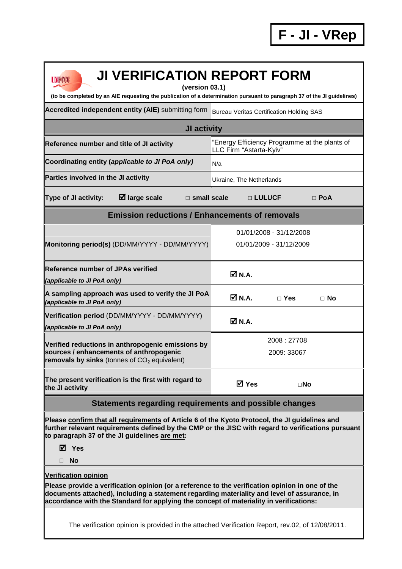| <b>JI VERIFICATION REPORT FORM</b><br><b>UNFCCC</b><br>(version 03.1)<br>(to be completed by an AIE requesting the publication of a determination pursuant to paragraph 37 of the JI guidelines)                                                                                                                        |                                                                          |  |  |  |
|-------------------------------------------------------------------------------------------------------------------------------------------------------------------------------------------------------------------------------------------------------------------------------------------------------------------------|--------------------------------------------------------------------------|--|--|--|
|                                                                                                                                                                                                                                                                                                                         |                                                                          |  |  |  |
| Accredited independent entity (AIE) submitting form<br><b>Bureau Veritas Certification Holding SAS</b>                                                                                                                                                                                                                  |                                                                          |  |  |  |
| JI activity                                                                                                                                                                                                                                                                                                             |                                                                          |  |  |  |
| Reference number and title of JI activity                                                                                                                                                                                                                                                                               | "Energy Efficiency Programme at the plants of<br>LLC Firm "Astarta-Kyiv" |  |  |  |
| Coordinating entity (applicable to JI PoA only)                                                                                                                                                                                                                                                                         | N/a                                                                      |  |  |  |
| Parties involved in the JI activity                                                                                                                                                                                                                                                                                     | Ukraine, The Netherlands                                                 |  |  |  |
| $\boxtimes$ large scale<br><b>Type of JI activity:</b><br>$\square$ small scale                                                                                                                                                                                                                                         | □ LULUCF<br>$\Box$ PoA                                                   |  |  |  |
| <b>Emission reductions / Enhancements of removals</b>                                                                                                                                                                                                                                                                   |                                                                          |  |  |  |
| Monitoring period(s) (DD/MM/YYYY - DD/MM/YYYY)                                                                                                                                                                                                                                                                          | 01/01/2008 - 31/12/2008<br>01/01/2009 - 31/12/2009                       |  |  |  |
| <b>Reference number of JPAs verified</b><br>(applicable to JI PoA only)                                                                                                                                                                                                                                                 | ØN.A.                                                                    |  |  |  |
| A sampling approach was used to verify the JI PoA<br>(applicable to JI PoA only)                                                                                                                                                                                                                                        | Ø N.A.<br>$\Box$ Yes<br>$\Box$ No                                        |  |  |  |
| Verification period (DD/MM/YYYY - DD/MM/YYYY)<br>(applicable to JI PoA only)                                                                                                                                                                                                                                            | ØN.A.                                                                    |  |  |  |
| Verified reductions in anthropogenic emissions by<br>sources / enhancements of anthropogenic<br>removals by sinks (tonnes of $CO2$ equivalent)                                                                                                                                                                          | 2008:27708<br>2009: 33067                                                |  |  |  |
| The present verification is the first with regard to<br>the JI activity                                                                                                                                                                                                                                                 | <b>Ø</b> Yes<br>$\square$ No                                             |  |  |  |
| Statements regarding requirements and possible changes                                                                                                                                                                                                                                                                  |                                                                          |  |  |  |
| Please confirm that all requirements of Article 6 of the Kyoto Protocol, the JI guidelines and<br>further relevant requirements defined by the CMP or the JISC with regard to verifications pursuant<br>to paragraph 37 of the JI guidelines are met:                                                                   |                                                                          |  |  |  |
| ⊠ Yes                                                                                                                                                                                                                                                                                                                   |                                                                          |  |  |  |
| <b>No</b>                                                                                                                                                                                                                                                                                                               |                                                                          |  |  |  |
| <b>Verification opinion</b><br>Please provide a verification opinion (or a reference to the verification opinion in one of the<br>documents attached), including a statement regarding materiality and level of assurance, in<br>accordance with the Standard for applying the concept of materiality in verifications: |                                                                          |  |  |  |
| The verification opinion is provided in the attached Verification Report, rev.02, of 12/08/2011.                                                                                                                                                                                                                        |                                                                          |  |  |  |